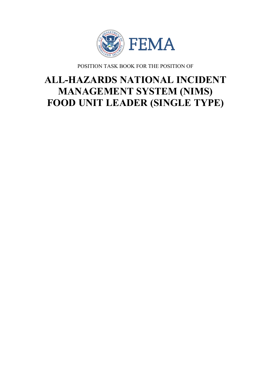

POSITION TASK BOOK FOR THE POSITION OF

# **ALL-HAZARDS NATIONAL INCIDENT MANAGEMENT SYSTEM (NIMS) FOOD UNIT LEADER (SINGLE TYPE)**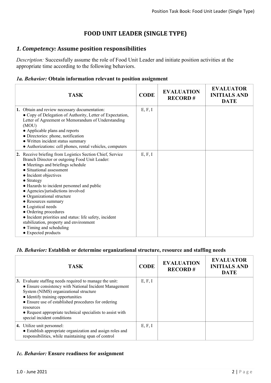# **FOOD UNIT LEADER (SINGLE TYPE)**

# *1. Competency:* **Assume position responsibilities**

*Description:* Successfully assume the role of Food Unit Leader and initiate position activities at the appropriate time according to the following behaviors.

#### *1a. Behavior:* **Obtain information relevant to position assignment**

| <b>TASK</b>                                                                                                                                                                                                                                                                                                                                                                                                                                                                                                                                                               | <b>CODE</b> | <b>EVALUATION</b><br><b>RECORD#</b> | <b>EVALUATOR</b><br><b>INITIALS AND</b><br><b>DATE</b> |
|---------------------------------------------------------------------------------------------------------------------------------------------------------------------------------------------------------------------------------------------------------------------------------------------------------------------------------------------------------------------------------------------------------------------------------------------------------------------------------------------------------------------------------------------------------------------------|-------------|-------------------------------------|--------------------------------------------------------|
| 1. Obtain and review necessary documentation:<br>• Copy of Delegation of Authority, Letter of Expectation,<br>Letter of Agreement or Memorandum of Understanding<br>(MOU)<br>• Applicable plans and reports<br>· Directories: phone, notification<br>• Written incident status summary<br>• Authorizations: cell phones, rental vehicles, computers                                                                                                                                                                                                                       | E, F, I     |                                     |                                                        |
| 2. Receive briefing from Logistics Section Chief, Service<br>Branch Director or outgoing Food Unit Leader:<br>• Meetings and briefings schedule<br>• Situational assessment<br>• Incident objectives<br>$\bullet$ Strategy<br>• Hazards to incident personnel and public<br>• Agencies/jurisdictions involved<br>• Organizational structure<br>• Resources summary<br>• Logistical needs<br>• Ordering procedures<br>• Incident priorities and status: life safety, incident<br>stabilization, property and environment<br>• Timing and scheduling<br>• Expected products | E, F, I     |                                     |                                                        |

#### *1b. Behavior:* **Establish or determine organizational structure, resource and staffing needs**

| <b>TASK</b>                                                                                                                                                                                                                                                                                                                                                       | <b>CODE</b> | <b>EVALUATION</b><br><b>RECORD#</b> | <b>EVALUATOR</b><br><b>INITIALS AND</b><br><b>DATE</b> |
|-------------------------------------------------------------------------------------------------------------------------------------------------------------------------------------------------------------------------------------------------------------------------------------------------------------------------------------------------------------------|-------------|-------------------------------------|--------------------------------------------------------|
| 3. Evaluate staffing needs required to manage the unit:<br>• Ensure consistency with National Incident Management<br>System (NIMS) organizational structure<br>• Identify training opportunities<br>• Ensure use of established procedures for ordering<br>resources<br>• Request appropriate technical specialists to assist with<br>special incident conditions | E, F, I     |                                     |                                                        |
| 4. Utilize unit personnel:<br>• Establish appropriate organization and assign roles and<br>responsibilities, while maintaining span of control                                                                                                                                                                                                                    | E, F, I     |                                     |                                                        |

#### *1c. Behavior:* **Ensure readiness for assignment**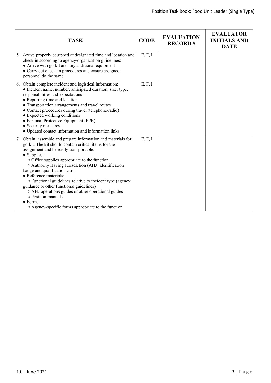|    | <b>TASK</b>                                                                                                                                                                                                                                                                                                                                                                                                                                                                                                                                                                                                                   | <b>CODE</b> | <b>EVALUATION</b><br><b>RECORD#</b> | <b>EVALUATOR</b><br><b>INITIALS AND</b><br><b>DATE</b> |
|----|-------------------------------------------------------------------------------------------------------------------------------------------------------------------------------------------------------------------------------------------------------------------------------------------------------------------------------------------------------------------------------------------------------------------------------------------------------------------------------------------------------------------------------------------------------------------------------------------------------------------------------|-------------|-------------------------------------|--------------------------------------------------------|
|    | 5. Arrive properly equipped at designated time and location and<br>check in according to agency/organization guidelines:<br>• Arrive with go-kit and any additional equipment<br>• Carry out check-in procedures and ensure assigned<br>personnel do the same                                                                                                                                                                                                                                                                                                                                                                 | E, F, I     |                                     |                                                        |
|    | <b>6.</b> Obtain complete incident and logistical information:<br>• Incident name, number, anticipated duration, size, type,<br>responsibilities and expectations<br>• Reporting time and location<br>• Transportation arrangements and travel routes<br>· Contact procedures during travel (telephone/radio)<br>• Expected working conditions<br>• Personal Protective Equipment (PPE)<br>• Security measures<br>• Updated contact information and information links                                                                                                                                                         | E, F, I     |                                     |                                                        |
| 7. | Obtain, assemble and prepare information and materials for<br>go-kit. The kit should contain critical items for the<br>assignment and be easily transportable:<br>• Supplies:<br>$\circ$ Office supplies appropriate to the function<br>○ Authority Having Jurisdiction (AHJ) identification<br>badge and qualification card<br>• Reference materials:<br>o Functional guidelines relative to incident type (agency<br>guidance or other functional guidelines)<br>o AHJ operations guides or other operational guides<br>$\circ$ Position manuals<br>$\bullet$ Forms:<br>○ Agency-specific forms appropriate to the function | E, F, I     |                                     |                                                        |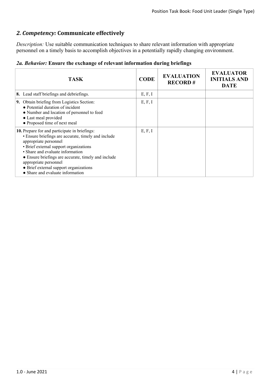# *2. Competency:* **Communicate effectively**

*Description:* Use suitable communication techniques to share relevant information with appropriate personnel on a timely basis to accomplish objectives in a potentially rapidly changing environment.

|  |  |  | 2a. Behavior: Ensure the exchange of relevant information during briefings |  |  |  |  |
|--|--|--|----------------------------------------------------------------------------|--|--|--|--|
|--|--|--|----------------------------------------------------------------------------|--|--|--|--|

| <b>TASK</b>                                                                                                                                                                                                                                                                                                                                                               | <b>CODE</b> | <b>EVALUATION</b><br><b>RECORD#</b> | <b>EVALUATOR</b><br><b>INITIALS AND</b><br><b>DATE</b> |
|---------------------------------------------------------------------------------------------------------------------------------------------------------------------------------------------------------------------------------------------------------------------------------------------------------------------------------------------------------------------------|-------------|-------------------------------------|--------------------------------------------------------|
| 8. Lead staff briefings and debriefings.                                                                                                                                                                                                                                                                                                                                  | E, F, I     |                                     |                                                        |
| 9. Obtain briefing from Logistics Section:<br>• Potential duration of incident<br>• Number and location of personnel to feed<br>• Last meal provided<br>• Proposed time of next meal                                                                                                                                                                                      | E, F, I     |                                     |                                                        |
| 10. Prepare for and participate in briefings:<br>• Ensure briefings are accurate, timely and include<br>appropriate personnel<br>• Brief external support organizations<br>• Share and evaluate information<br>• Ensure briefings are accurate, timely and include<br>appropriate personnel<br>• Brief external support organizations<br>• Share and evaluate information | E, F, I     |                                     |                                                        |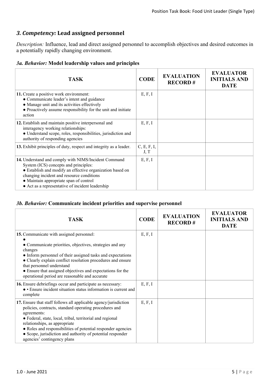# *3. Competency:* **Lead assigned personnel**

*Description:* Influence, lead and direct assigned personnel to accomplish objectives and desired outcomes in a potentially rapidly changing environment.

|  |  |  |  |  | 3a. Behavior: Model leadership values and principles |
|--|--|--|--|--|------------------------------------------------------|
|--|--|--|--|--|------------------------------------------------------|

| <b>TASK</b>                                                                                                                                                                                                                                                                                           | <b>CODE</b>         | <b>EVALUATION</b><br><b>RECORD#</b> | <b>EVALUATOR</b><br><b>INITIALS AND</b><br><b>DATE</b> |
|-------------------------------------------------------------------------------------------------------------------------------------------------------------------------------------------------------------------------------------------------------------------------------------------------------|---------------------|-------------------------------------|--------------------------------------------------------|
| 11. Create a positive work environment:<br>• Communicate leader's intent and guidance<br>• Manage unit and its activities effectively<br>• Proactively assume responsibility for the unit and initiate<br>action                                                                                      | E, F, I             |                                     |                                                        |
| 12. Establish and maintain positive interpersonal and<br>interagency working relationships:<br>• Understand scope, roles, responsibilities, jurisdiction and<br>authority of responding agencies                                                                                                      | E, F, I             |                                     |                                                        |
| 13. Exhibit principles of duty, respect and integrity as a leader.                                                                                                                                                                                                                                    | C, E, F, I,<br>J, T |                                     |                                                        |
| 14. Understand and comply with NIMS/Incident Command<br>System (ICS) concepts and principles:<br>• Establish and modify an effective organization based on<br>changing incident and resource conditions<br>• Maintain appropriate span of control<br>• Act as a representative of incident leadership | E, F, I             |                                     |                                                        |

#### *3b. Behavior:* **Communicate incident priorities and supervise personnel**

| <b>TASK</b>                                                                                                                                                                                                                                                                                                                                                                                          | <b>CODE</b> | <b>EVALUATION</b><br><b>RECORD#</b> | <b>EVALUATOR</b><br><b>INITIALS AND</b><br><b>DATE</b> |
|------------------------------------------------------------------------------------------------------------------------------------------------------------------------------------------------------------------------------------------------------------------------------------------------------------------------------------------------------------------------------------------------------|-------------|-------------------------------------|--------------------------------------------------------|
| 15. Communicate with assigned personnel:                                                                                                                                                                                                                                                                                                                                                             | E, F, I     |                                     |                                                        |
| • Communicate priorities, objectives, strategies and any<br>changes<br>• Inform personnel of their assigned tasks and expectations<br>• Clearly explain conflict resolution procedures and ensure<br>that personnel understand<br>• Ensure that assigned objectives and expectations for the<br>operational period are reasonable and accurate                                                       |             |                                     |                                                        |
| 16. Ensure debriefings occur and participate as necessary:<br>• Ensure incident situation status information is current and<br>complete                                                                                                                                                                                                                                                              | E, F, I     |                                     |                                                        |
| 17. Ensure that staff follows all applicable agency/jurisdiction<br>policies, contracts, standard operating procedures and<br>agreements:<br>• Federal, state, local, tribal, territorial and regional<br>relationships, as appropriate<br>• Roles and responsibilities of potential responder agencies<br>• Scope, jurisdiction and authority of potential responder<br>agencies' contingency plans | E, F, I     |                                     |                                                        |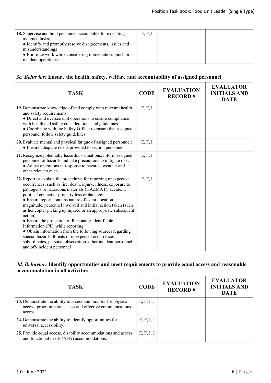| 18. Supervise and hold personnel accountable for executing<br>assigned tasks:<br>• Identify and promptly resolve disagreements, issues and<br>misunderstandings | E, F, I |  |
|-----------------------------------------------------------------------------------------------------------------------------------------------------------------|---------|--|
| • Prioritize work while considering immediate support for<br>incident operations                                                                                |         |  |

## *3c. Behavior:* **Ensure the health, safety, welfare and accountability of assigned personnel**

| <b>TASK</b>                                                                                                                                                                                                                                                                                                                                                                                                                                                                                                                                                                                                                                                                                                                                              | <b>CODE</b> | <b>EVALUATION</b><br><b>RECORD#</b> | <b>EVALUATOR</b><br><b>INITIALS AND</b><br><b>DATE</b> |
|----------------------------------------------------------------------------------------------------------------------------------------------------------------------------------------------------------------------------------------------------------------------------------------------------------------------------------------------------------------------------------------------------------------------------------------------------------------------------------------------------------------------------------------------------------------------------------------------------------------------------------------------------------------------------------------------------------------------------------------------------------|-------------|-------------------------------------|--------------------------------------------------------|
| 19. Demonstrate knowledge of and comply with relevant health<br>and safety requirements:<br>• Direct and oversee unit operations to ensure compliance<br>with health and safety considerations and guidelines<br>• Coordinate with the Safety Officer to ensure that assigned<br>personnel follow safety guidelines                                                                                                                                                                                                                                                                                                                                                                                                                                      | E, F, I     |                                     |                                                        |
| 20. Evaluate mental and physical fatigue of assigned personnel:<br>• Ensure adequate rest is provided to section personnel                                                                                                                                                                                                                                                                                                                                                                                                                                                                                                                                                                                                                               | E, F, I     |                                     |                                                        |
| 21. Recognize potentially hazardous situations, inform assigned<br>personnel of hazards and take precautions to mitigate risk:<br>• Adjust operations in response to hazards, weather and<br>other relevant even                                                                                                                                                                                                                                                                                                                                                                                                                                                                                                                                         | E, F, I     |                                     |                                                        |
| 22. Report or explain the procedures for reporting unexpected<br>occurrences, such as fire, death, injury, illness, exposure to<br>pathogens or hazardous materials (HAZMAT), accident,<br>political contact or property loss or damage:<br>• Ensure report contains nature of event, location,<br>magnitude, personnel involved and initial action taken (such<br>as helicopter picking up injured or an appropriate subsequent<br>action)<br>• Ensure the protection of Personally Identifiable<br>Information (PII) while reporting<br>• Obtain information from the following sources regarding<br>special hazards, threats or unexpected occurrences:<br>subordinates, personal observation, other incident personnel<br>and off-incident personnel | E, F, I     |                                     |                                                        |

## *3d. Behavior:* **Identify opportunities and meet requirements to provide equal access and reasonable accommodation in all activities**

| <b>TASK</b>                                                                                                                           | <b>CODE</b> | <b>EVALUATION</b><br><b>RECORD#</b> | <b>EVALUATOR</b><br><b>INITIALS AND</b><br><b>DATE</b> |
|---------------------------------------------------------------------------------------------------------------------------------------|-------------|-------------------------------------|--------------------------------------------------------|
| 23. Demonstrate the ability to assess and monitor for physical<br>access, programmatic access and effective communications<br>access. | E, F, I, J  |                                     |                                                        |
| 24. Demonstrate the ability to identify opportunities for<br>universal accessibility.                                                 | E, F, I, J  |                                     |                                                        |
| 25. Provide equal access, disability accommodations and access<br>and functional needs (AFN) accommodations.                          | E, F, I, J  |                                     |                                                        |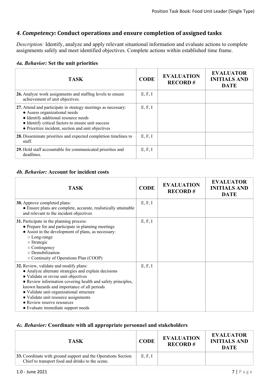# *4. Competency:* **Conduct operations and ensure completion of assigned tasks**

*Description:* Identify, analyze and apply relevant situational information and evaluate actions to complete assignments safely and meet identified objectives. Complete actions within established time frame.

|  | 4a. Behavior: Set the unit priorities |  |  |  |  |
|--|---------------------------------------|--|--|--|--|
|--|---------------------------------------|--|--|--|--|

| <b>TASK</b>                                                                                                                                                                                                                                        | <b>CODE</b> | <b>EVALUATION</b><br><b>RECORD#</b> | <b>EVALUATOR</b><br><b>INITIALS AND</b><br><b>DATE</b> |
|----------------------------------------------------------------------------------------------------------------------------------------------------------------------------------------------------------------------------------------------------|-------------|-------------------------------------|--------------------------------------------------------|
| 26. Analyze work assignments and staffing levels to ensure<br>achievement of unit objectives.                                                                                                                                                      | E, F, I     |                                     |                                                        |
| 27. Attend and participate in strategy meetings as necessary:<br>• Assess organizational needs<br>• Identify additional resource needs<br>• Identify critical factors to ensure unit success<br>• Prioritize incident, section and unit objectives | E, F, I     |                                     |                                                        |
| 28. Disseminate priorities and expected completion timelines to<br>staff.                                                                                                                                                                          | E, F, I     |                                     |                                                        |
| 29. Hold staff accountable for communicated priorities and<br>deadlines.                                                                                                                                                                           | E, F, I     |                                     |                                                        |

#### *4b. Behavior:* **Account for incident costs**

| <b>TASK</b>                                                                                                                                                                                                                                                                                                                                                                                                  | <b>CODE</b> | <b>EVALUATION</b><br><b>RECORD#</b> | <b>EVALUATOR</b><br><b>INITIALS AND</b><br><b>DATE</b> |
|--------------------------------------------------------------------------------------------------------------------------------------------------------------------------------------------------------------------------------------------------------------------------------------------------------------------------------------------------------------------------------------------------------------|-------------|-------------------------------------|--------------------------------------------------------|
| <b>30.</b> Approve completed plans:<br>• Ensure plans are complete, accurate, realistically attainable<br>and relevant to the incident objectives                                                                                                                                                                                                                                                            | E, F, I     |                                     |                                                        |
| 31. Participate in the planning process:<br>• Prepare for and participate in planning meetings<br>• Assist in the development of plans, as necessary:<br>○ Long-range<br>$\circ$ Strategic<br>$\circ$ Contingency<br>$\circ$ Demobilization<br>○ Continuity of Operations Plan (COOP)                                                                                                                        | E, F, I     |                                     |                                                        |
| 32. Review, validate and modify plans:<br>• Analyze alternate strategies and explain decisions<br>· Validate or revise unit objectives<br>• Review information covering health and safety principles,<br>known hazards and importance of all periods<br>· Validate unit organizational structure<br>• Validate unit resource assignments<br>• Review reserve resources<br>• Evaluate immediate support needs | E, F, I     |                                     |                                                        |

#### *4c. Behavior:* **Coordinate with all appropriate personnel and stakeholders**

| <b>TASK</b>                                                                                                       | <b>CODE</b> | <b>EVALUATION</b><br><b>RECORD#</b> | <b>EVALUATOR</b><br><b>INITIALS AND</b><br><b>DATE</b> |
|-------------------------------------------------------------------------------------------------------------------|-------------|-------------------------------------|--------------------------------------------------------|
| 33. Coordinate with ground support and the Operations Section<br>Chief to transport food and drinks to the scene. | E, F, I     |                                     |                                                        |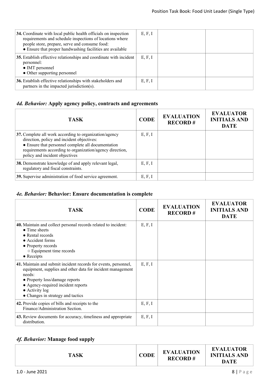| 34. Coordinate with local public health officials on inspection<br>requirements and schedule inspections of locations where<br>people store, prepare, serve and consume food:<br>• Ensure that proper handwashing facilities are available | E, F, I |  |
|--------------------------------------------------------------------------------------------------------------------------------------------------------------------------------------------------------------------------------------------|---------|--|
| 35. Establish effective relationships and coordinate with incident<br>personnel:<br>• IMT personnel<br>• Other supporting personnel                                                                                                        | E, F, I |  |
| 36. Establish effective relationships with stakeholders and<br>partners in the impacted jurisdiction(s).                                                                                                                                   | E, F, I |  |

# *4d. Behavior:* **Apply agency policy, contracts and agreements**

| <b>TASK</b>                                                                                                                                                                                                                                              | <b>CODE</b> | <b>EVALUATION</b><br><b>RECORD#</b> | <b>EVALUATOR</b><br><b>INITIALS AND</b><br><b>DATE</b> |
|----------------------------------------------------------------------------------------------------------------------------------------------------------------------------------------------------------------------------------------------------------|-------------|-------------------------------------|--------------------------------------------------------|
| 37. Complete all work according to organization/agency<br>direction, policy and incident objectives:<br>• Ensure that personnel complete all documentation<br>requirements according to organization/agency direction,<br>policy and incident objectives | E, F, I     |                                     |                                                        |
| 38. Demonstrate knowledge of and apply relevant legal,<br>regulatory and fiscal constraints.                                                                                                                                                             | E, F, I     |                                     |                                                        |
| 39. Supervise administration of food service agreement.                                                                                                                                                                                                  | E, F, I     |                                     |                                                        |

# *4e. Behavior:* **Behavior: Ensure documentation is complete**

| <b>TASK</b>                                                                                                                                                                                                                                                                    | <b>CODE</b> | <b>EVALUATION</b><br><b>RECORD#</b> | <b>EVALUATOR</b><br><b>INITIALS AND</b><br><b>DATE</b> |
|--------------------------------------------------------------------------------------------------------------------------------------------------------------------------------------------------------------------------------------------------------------------------------|-------------|-------------------------------------|--------------------------------------------------------|
| 40. Maintain and collect personal records related to incident:<br>$\bullet$ Time sheets<br>• Rental records<br>• Accident forms<br>• Property records<br>○ Equipment time records<br>$\bullet$ Receipts                                                                        | E, F, I     |                                     |                                                        |
| 41. Maintain and submit incident records for events, personnel,<br>equipment, supplies and other data for incident management<br>needs:<br>• Property loss/damage reports<br>• Agency-required incident reports<br>$\bullet$ Activity log<br>• Changes in strategy and tactics | E, F, I     |                                     |                                                        |
| 42. Provide copies of bills and receipts to the<br>Finance/Administration Section.                                                                                                                                                                                             | E, F, I     |                                     |                                                        |
| 43. Review documents for accuracy, timeliness and appropriate<br>distribution.                                                                                                                                                                                                 | E, F, I     |                                     |                                                        |

# *4f. Behavior:* **Manage food supply**

|--|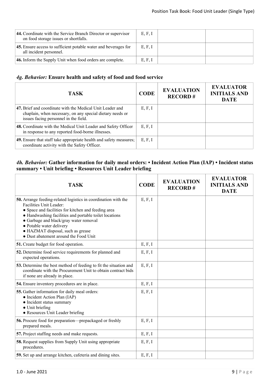| 44. Coordinate with the Service Branch Director or supervisor<br>on food storage issues or shortfalls. | E, F, I |  |
|--------------------------------------------------------------------------------------------------------|---------|--|
| 45. Ensure access to sufficient potable water and beverages for<br>all incident personnel.             | E, F, I |  |
| <b>46.</b> Inform the Supply Unit when food orders are complete.                                       | E, F, I |  |

## *4g. Behavior:* **Ensure health and safety of food and food service**

| TASK.                                                                                                                                                           | <b>CODE</b> | <b>EVALUATION</b><br><b>RECORD#</b> | <b>EVALUATOR</b><br><b>INITIALS AND</b><br><b>DATE</b> |
|-----------------------------------------------------------------------------------------------------------------------------------------------------------------|-------------|-------------------------------------|--------------------------------------------------------|
| 47. Brief and coordinate with the Medical Unit Leader and<br>chaplain, when necessary, on any special dietary needs or<br>issues facing personnel in the field. | E, F, I     |                                     |                                                        |
| 48. Coordinate with the Medical Unit Leader and Safety Officer<br>in response to any reported food-borne illnesses.                                             | E, F, I     |                                     |                                                        |
| <b>49.</b> Ensure that staff take appropriate health and safety measures;<br>coordinate activity with the Safety Officer.                                       | E, F, I     |                                     |                                                        |

## *4h. Behavior:* **Gather information for daily meal orders: • Incident Action Plan (IAP) • Incident status summary • Unit briefing • Resources Unit Leader briefing**

| <b>TASK</b>                                                                                                                                                                                                                                                                                                                                                    | <b>CODE</b> | <b>EVALUATION</b><br><b>RECORD#</b> | <b>EVALUATOR</b><br><b>INITIALS AND</b><br><b>DATE</b> |
|----------------------------------------------------------------------------------------------------------------------------------------------------------------------------------------------------------------------------------------------------------------------------------------------------------------------------------------------------------------|-------------|-------------------------------------|--------------------------------------------------------|
| 50. Arrange feeding-related logistics in coordination with the<br>Facilities Unit Leader:<br>• Space and facilities for kitchen and feeding area<br>• Handwashing facilities and portable toilet locations<br>• Garbage and black/gray water removal<br>• Potable water delivery<br>• HAZMAT disposal, such as grease<br>• Dust abatement around the Food Unit | E, F, I     |                                     |                                                        |
| 51. Create budget for food operation.                                                                                                                                                                                                                                                                                                                          | E, F, I     |                                     |                                                        |
| 52. Determine food service requirements for planned and<br>expected operations.                                                                                                                                                                                                                                                                                | E, F, I     |                                     |                                                        |
| 53. Determine the best method of feeding to fit the situation and<br>coordinate with the Procurement Unit to obtain contract bids<br>if none are already in place.                                                                                                                                                                                             | E, F, I     |                                     |                                                        |
| 54. Ensure inventory procedures are in place.                                                                                                                                                                                                                                                                                                                  | E, F, I     |                                     |                                                        |
| 55. Gather information for daily meal orders:<br>• Incident Action Plan (IAP)<br>• Incident status summary<br>• Unit briefing<br>• Resources Unit Leader briefing                                                                                                                                                                                              | E, F, I     |                                     |                                                        |
| 56. Procure food for preparation-prepackaged or freshly<br>prepared meals.                                                                                                                                                                                                                                                                                     | E, F, I     |                                     |                                                        |
| 57. Project staffing needs and make requests.                                                                                                                                                                                                                                                                                                                  | E, F, I     |                                     |                                                        |
| <b>58.</b> Request supplies from Supply Unit using appropriate<br>procedures.                                                                                                                                                                                                                                                                                  | E, F, I     |                                     |                                                        |
| 59. Set up and arrange kitchen, cafeteria and dining sites.                                                                                                                                                                                                                                                                                                    | E, F, I     |                                     |                                                        |